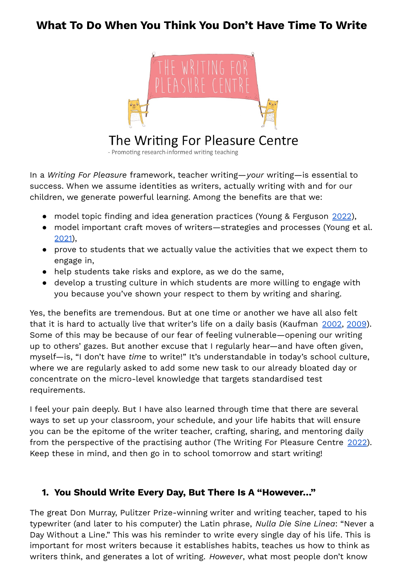## **What To Do When You Think You Don't Have Time To Write**



# The Writing For Pleasure Centre

- Promoting research-informed writing teaching

In a *Writing For Pleasure* framework, teacher writing—*your* writing—is essential to success. When we assume identities as writers, actually writing with and for our children, we generate powerful learning. Among the benefits are that we:

- model topic finding and idea generation practices (Young & Ferguson [2022](https://writing4pleasure.com/no-more-i-dont-know-what-to-write-lessons-that-help-children-generate-great-writing-ideas-for-3-11-year-olds/)),
- model important craft moves of writers–strategies and processes (Young et al. [2021\)](https://writing4pleasure.com/the-writing-for-pleasure-centres-big-book-of-mini-lessons/),
- prove to students that we actually value the activities that we expect them to engage in,
- help students take risks and explore, as we do the same,
- develop a trusting culture in which students are more willing to engage with you because you've shown your respect to them by writing and sharing.

Yes, the benefits are tremendous. But at one time or another we have all also felt that it is hard to actually live that writer's life on a daily basis (Kaufman [2002,](https://www.researchgate.net/publication/290814711_Living_a_Literate_Life_Revisited) [2009](https://journals.sagepub.com/doi/10.1177/0022487109336544)). Some of this may be because of our fear of feeling vulnerable—opening our writing up to others' gazes. But another excuse that I regularly hear—and have often given, myself—is, "I don't have *time* to write!" It's understandable in today's school culture, where we are regularly asked to add some new task to our already bloated day or concentrate on the micro-level knowledge that targets standardised test requirements.

I feel your pain deeply. But I have also learned through time that there are several ways to set up your classroom, your schedule, and your life habits that will ensure you can be the epitome of the writer teacher, crafting, sharing, and mentoring daily from the perspective of the practising author (The Writing For Pleasure Centre [2022\)](https://writing4pleasure.com/being-a-writer-teacher/). Keep these in mind, and then go in to school tomorrow and start writing!

## **1. You Should Write Every Day, But There Is A "However…"**

The great Don Murray, Pulitzer Prize-winning writer and writing teacher, taped to his typewriter (and later to his computer) the Latin phrase, *Nulla Die Sine Linea*: "Never a Day Without a Line." This was his reminder to write every single day of his life. This is important for most writers because it establishes habits, teaches us how to think as writers think, and generates a lot of writing. *However*, what most people don't know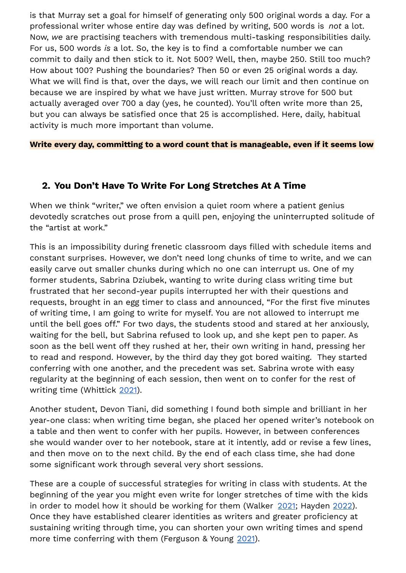is that Murray set a goal for himself of generating only 500 original words a day. For a professional writer whose entire day was defined by writing, 500 words is *not* a lot. Now, *we* are practising teachers with tremendous multi-tasking responsibilities daily. For us, 500 words *is* a lot. So, the key is to find a comfortable number we can commit to daily and then stick to it. Not 500? Well, then, maybe 250. Still too much? How about 100? Pushing the boundaries? Then 50 or even 25 original words a day. What we will find is that, over the days, we will reach our limit and then continue on because we are inspired by what we have just written. Murray strove for 500 but actually averaged over 700 a day (yes, he counted). You'll often write more than 25, but you can always be satisfied once that 25 is accomplished. Here, daily, habitual activity is much more important than volume.

**Write every day, committing to a word count that is manageable, even if it seems low**

#### **2. You Don't Have To Write For Long Stretches At A Time**

When we think "writer," we often envision a quiet room where a patient genius devotedly scratches out prose from a quill pen, enjoying the uninterrupted solitude of the "artist at work."

This is an impossibility during frenetic classroom days filled with schedule items and constant surprises. However, we don't need long chunks of time to write, and we can easily carve out smaller chunks during which no one can interrupt us. One of my former students, Sabrina Dziubek, wanting to write during class writing time but frustrated that her second-year pupils interrupted her with their questions and requests, brought in an egg timer to class and announced, "For the first five minutes of writing time, I am going to write for myself. You are not allowed to interrupt me until the bell goes off." For two days, the students stood and stared at her anxiously, waiting for the bell, but Sabrina refused to look up, and she kept pen to paper. As soon as the bell went off they rushed at her, their own writing in hand, pressing her to read and respond. However, by the third day they got bored waiting. They started conferring with one another, and the precedent was set. Sabrina wrote with easy regularity at the beginning of each session, then went on to confer for the rest of writing time (Whittick [2021](https://writing4pleasure.com/write-a-little-share-a-little/)).

Another student, Devon Tiani, did something I found both simple and brilliant in her year-one class: when writing time began, she placed her opened writer's notebook on a table and then went to confer with her pupils. However, in between conferences she would wander over to her notebook, stare at it intently, add or revise a few lines, and then move on to the next child. By the end of each class time, she had done some significant work through several very short sessions.

These are a couple of successful strategies for writing in class with students. At the beginning of the year you might even write for longer stretches of time with the kids in order to model how it should be working for them (Walker [2021;](https://writing4pleasure.com/writing-with-some-pupils-in-my-year-one-class/) Hayden [2022](https://writing4pleasure.com/2021/11/12/speedy-books-making-planning-authentic/)). Once they have established clearer identities as writers and greater proficiency at sustaining writing through time, you can shorten your own writing times and spend more time conferring with them (Ferguson & Young [2021](https://writing4pleasure.com/a-guide-to-pupil-conferencing-with-3-11-year-olds/)).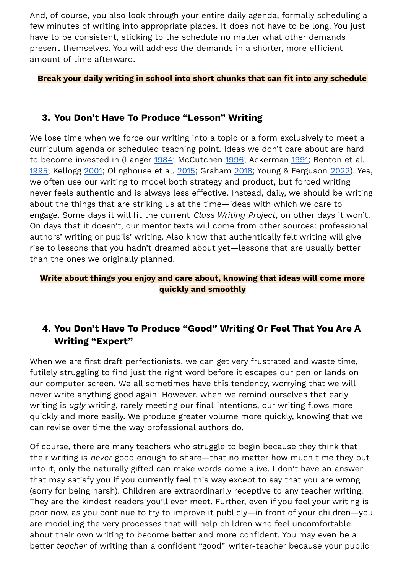And, of course, you also look through your entire daily agenda, formally scheduling a few minutes of writing into appropriate places. It does not have to be long. You just have to be consistent, sticking to the schedule no matter what other demands present themselves. You will address the demands in a shorter, more efficient amount of time afterward.

#### **Break your daily writing in school into short chunks that can fit into any schedule**

#### **3. You Don't Have To Produce "Lesson" Writing**

We lose time when we force our writing into a topic or a form exclusively to meet a curriculum agenda or scheduled teaching point. Ideas we don't care about are hard to become invested in (Langer [1984;](https://www.jstor.org/stable/40170977) McCutchen [1996](https://psycnet.apa.org/record/1998-12066-004); Ackerman [1991;](https://www.semanticscholar.org/paper/Reading%2C-Writing%2C-and-Knowing%3A-The-Role-of-in-and-Ackerman/a03c30607c780b7b5bd7e28e1d0956405637db2e) Benton et al. [1995](https://psycnet.apa.org/record/1995-20862-001); Kellogg [2001](https://psycnet.apa.org/record/2001-01389-001); Olinghouse et al. [2015](https://www.researchgate.net/publication/274865873_The_Relationship_of_Discourse_and_Topic_Knowledge_to_Fifth_Graders); Graham [2018;](https://www.tandfonline.com/doi/abs/10.1080/00461520.2018.1481406) Young & Ferguson [2022\)](https://writing4pleasure.com/no-more-i-dont-know-what-to-write-lessons-that-help-children-generate-great-writing-ideas-for-3-11-year-olds/). Yes, we often use our writing to model both strategy and product, but forced writing never feels authentic and is always less effective. Instead, daily, we should be writing about the things that are striking us at the time—ideas with which we care to engage. Some days it will fit the current *Class Writing Project*, on other days it won't. On days that it doesn't, our mentor texts will come from other sources: professional authors' writing or pupils' writing. Also know that authentically felt writing will give rise to lessons that you hadn't dreamed about yet—lessons that are usually better than the ones we originally planned.

#### **Write about things you enjoy and care about, knowing that ideas will come more quickly and smoothly**

## **4. You Don't Have To Produce "Good" Writing Or Feel That You Are A Writing "Expert"**

When we are first draft perfectionists, we can get very frustrated and waste time, futilely struggling to find just the right word before it escapes our pen or lands on our computer screen. We all sometimes have this tendency, worrying that we will never write anything good again. However, when we remind ourselves that early writing is *ugly* writing, rarely meeting our final intentions, our writing flows more quickly and more easily. We produce greater volume more quickly, knowing that we can revise over time the way professional authors do.

Of course, there are many teachers who struggle to begin because they think that their writing is *never* good enough to share—that no matter how much time they put into it, only the naturally gifted can make words come alive. I don't have an answer that may satisfy you if you currently feel this way except to say that you are wrong (sorry for being harsh). Children are extraordinarily receptive to any teacher writing. They are the kindest readers you'll ever meet. Further, even if you feel your writing is poor now, as you continue to try to improve it publicly—in front of your children—you are modelling the very processes that will help children who feel uncomfortable about their own writing to become better and more confident. You may even be a better *teacher* of writing than a confident "good" writer-teacher because your public